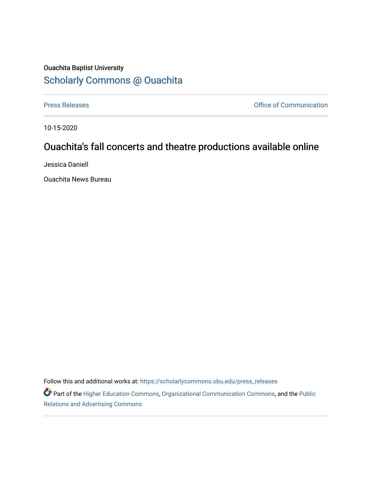## Ouachita Baptist University [Scholarly Commons @ Ouachita](https://scholarlycommons.obu.edu/)

[Press Releases](https://scholarlycommons.obu.edu/press_releases) **Press Releases Communication** 

10-15-2020

## Ouachita's fall concerts and theatre productions available online

Jessica Daniell

Ouachita News Bureau

Follow this and additional works at: [https://scholarlycommons.obu.edu/press\\_releases](https://scholarlycommons.obu.edu/press_releases?utm_source=scholarlycommons.obu.edu%2Fpress_releases%2F742&utm_medium=PDF&utm_campaign=PDFCoverPages)

Part of the [Higher Education Commons,](http://network.bepress.com/hgg/discipline/1245?utm_source=scholarlycommons.obu.edu%2Fpress_releases%2F742&utm_medium=PDF&utm_campaign=PDFCoverPages) [Organizational Communication Commons,](http://network.bepress.com/hgg/discipline/335?utm_source=scholarlycommons.obu.edu%2Fpress_releases%2F742&utm_medium=PDF&utm_campaign=PDFCoverPages) and the [Public](http://network.bepress.com/hgg/discipline/336?utm_source=scholarlycommons.obu.edu%2Fpress_releases%2F742&utm_medium=PDF&utm_campaign=PDFCoverPages) [Relations and Advertising Commons](http://network.bepress.com/hgg/discipline/336?utm_source=scholarlycommons.obu.edu%2Fpress_releases%2F742&utm_medium=PDF&utm_campaign=PDFCoverPages)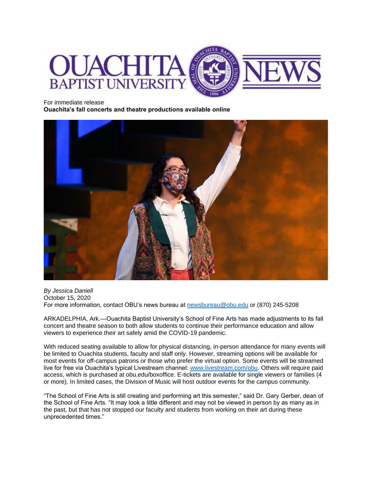

## For immediate release

**Ouachita's fall concerts and theatre productions available online** 



*By Jessica Daniell* October 15, 2020 For more information, contact OBU's news bureau at [newsbureau@obu.edu](mailto:newsbureau@obu.edu) or (870) 245-5208

ARKADELPHIA, Ark.—Ouachita Baptist University's School of Fine Arts has made adjustments to its fall concert and theatre season to both allow students to continue their performance education and allow viewers to experience their art safely amid the COVID-19 pandemic.

With reduced seating available to allow for physical distancing, in-person attendance for many events will be limited to Ouachita students, faculty and staff only. However, streaming options will be available for most events for off-campus patrons or those who prefer the virtual option. Some events will be streamed live for free via Ouachita's typical Livestream channel: [www.livestream.com/obu.](http://www.livestream.com/obu) Others will require paid access, which is purchased at obu.edu/boxoffice. E-tickets are available for single viewers or families (4 or more). In limited cases, the Division of Music will host outdoor events for the campus community.

"The School of Fine Arts is still creating and performing art this semester," said Dr. Gary Gerber, dean of the School of Fine Arts. "It may look a little different and may not be viewed in person by as many as in the past, but that has not stopped our faculty and students from working on their art during these unprecedented times."